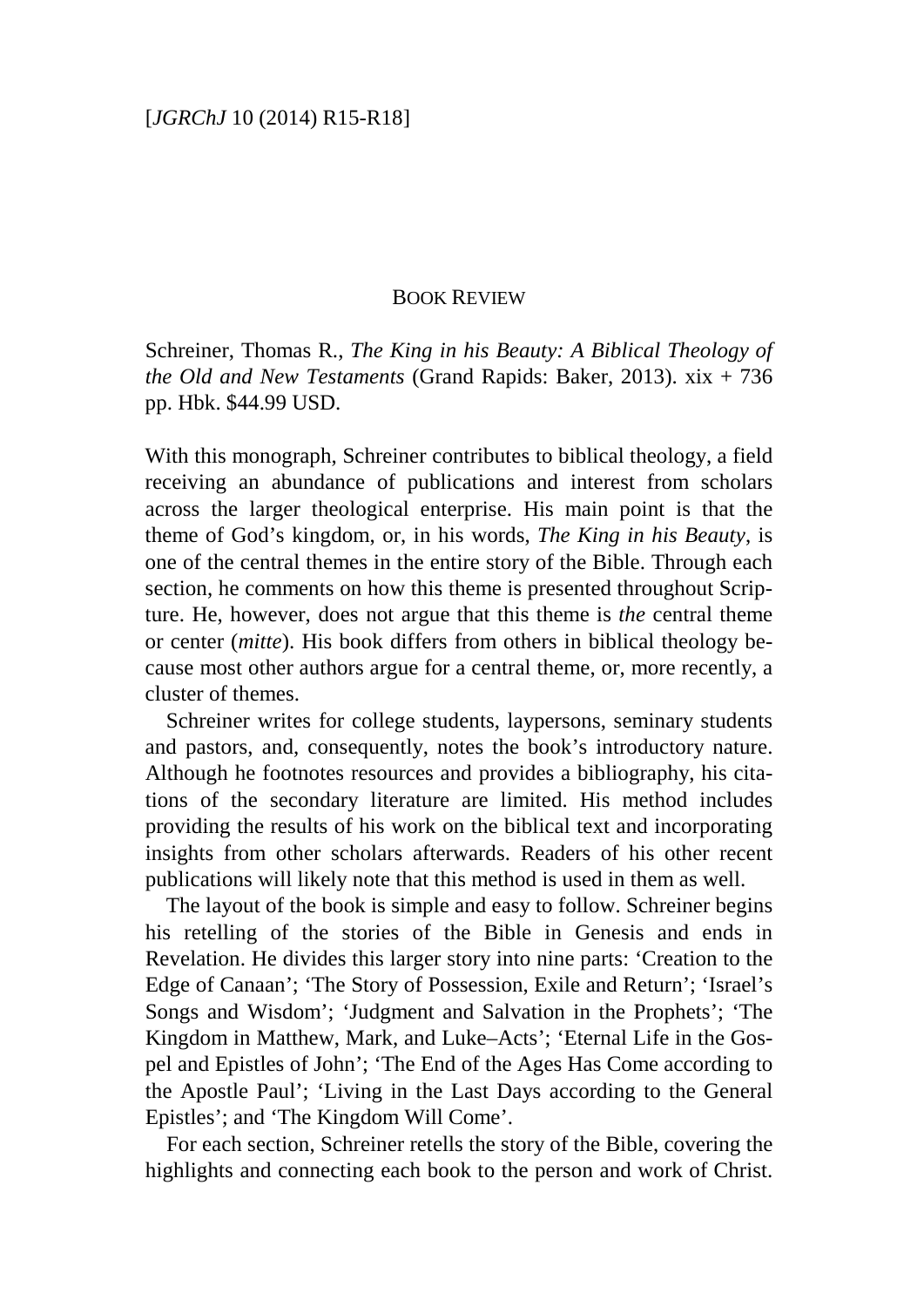## BOOK REVIEW

Schreiner, Thomas R., *The King in his Beauty: A Biblical Theology of the Old and New Testaments* (Grand Rapids: Baker, 2013). xix + 736 pp. Hbk. \$44.99 USD.

With this monograph, Schreiner contributes to biblical theology, a field receiving an abundance of publications and interest from scholars across the larger theological enterprise. His main point is that the theme of God's kingdom, or, in his words, *The King in his Beauty*, is one of the central themes in the entire story of the Bible. Through each section, he comments on how this theme is presented throughout Scripture. He, however, does not argue that this theme is *the* central theme or center (*mitte*). His book differs from others in biblical theology because most other authors argue for a central theme, or, more recently, a cluster of themes.

Schreiner writes for college students, laypersons, seminary students and pastors, and, consequently, notes the book's introductory nature. Although he footnotes resources and provides a bibliography, his citations of the secondary literature are limited. His method includes providing the results of his work on the biblical text and incorporating insights from other scholars afterwards. Readers of his other recent publications will likely note that this method is used in them as well.

The layout of the book is simple and easy to follow. Schreiner begins his retelling of the stories of the Bible in Genesis and ends in Revelation. He divides this larger story into nine parts: 'Creation to the Edge of Canaan'; 'The Story of Possession, Exile and Return'; 'Israel's Songs and Wisdom'; 'Judgment and Salvation in the Prophets'; 'The Kingdom in Matthew, Mark, and Luke–Acts'; 'Eternal Life in the Gospel and Epistles of John'; 'The End of the Ages Has Come according to the Apostle Paul'; 'Living in the Last Days according to the General Epistles'; and 'The Kingdom Will Come'.

For each section, Schreiner retells the story of the Bible, covering the highlights and connecting each book to the person and work of Christ.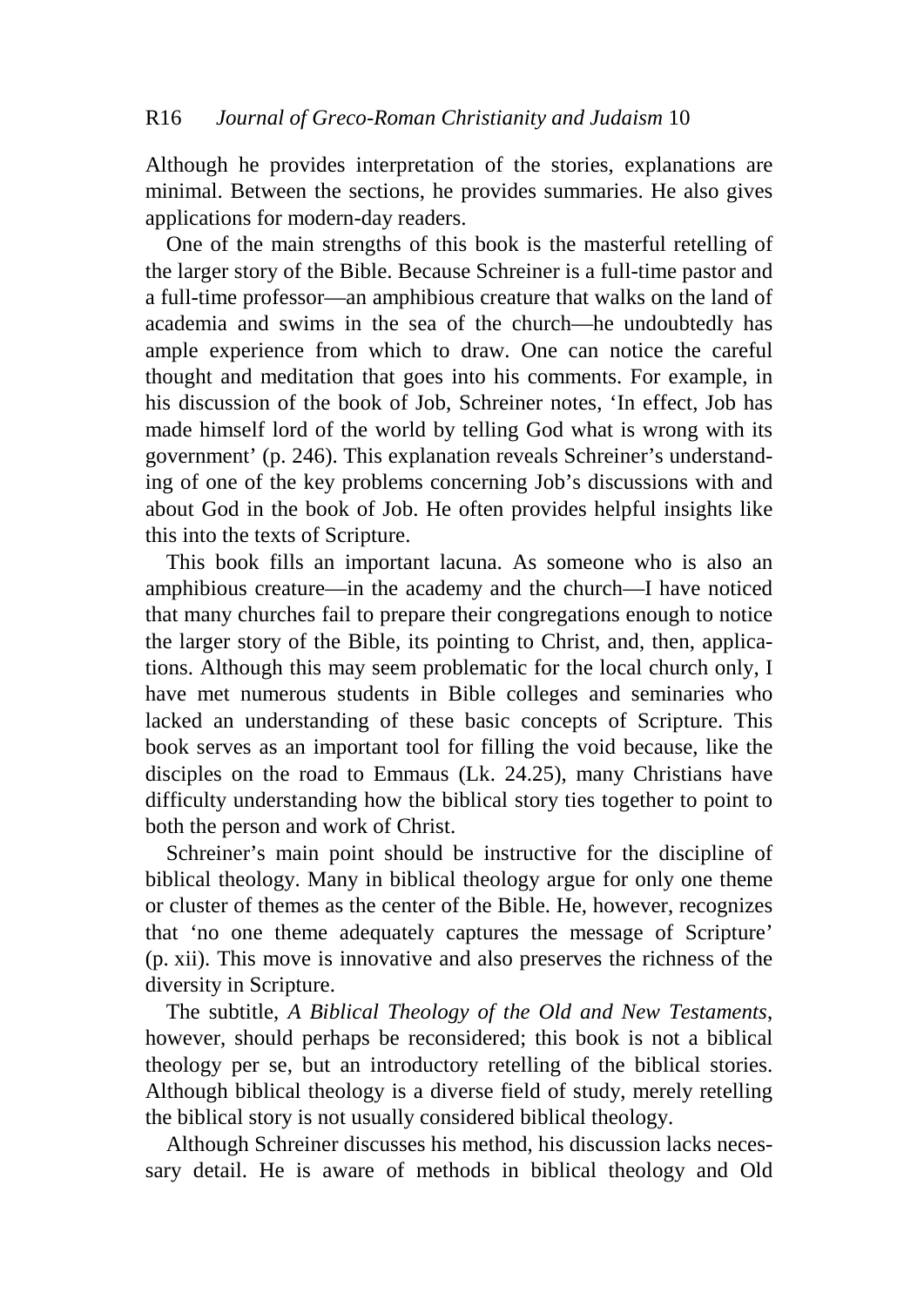Although he provides interpretation of the stories, explanations are minimal. Between the sections, he provides summaries. He also gives applications for modern-day readers.

One of the main strengths of this book is the masterful retelling of the larger story of the Bible. Because Schreiner is a full-time pastor and a full-time professor—an amphibious creature that walks on the land of academia and swims in the sea of the church—he undoubtedly has ample experience from which to draw. One can notice the careful thought and meditation that goes into his comments. For example, in his discussion of the book of Job, Schreiner notes, 'In effect, Job has made himself lord of the world by telling God what is wrong with its government' (p. 246). This explanation reveals Schreiner's understanding of one of the key problems concerning Job's discussions with and about God in the book of Job. He often provides helpful insights like this into the texts of Scripture.

This book fills an important lacuna. As someone who is also an amphibious creature—in the academy and the church—I have noticed that many churches fail to prepare their congregations enough to notice the larger story of the Bible, its pointing to Christ, and, then, applications. Although this may seem problematic for the local church only, I have met numerous students in Bible colleges and seminaries who lacked an understanding of these basic concepts of Scripture. This book serves as an important tool for filling the void because, like the disciples on the road to Emmaus (Lk. 24.25), many Christians have difficulty understanding how the biblical story ties together to point to both the person and work of Christ.

Schreiner's main point should be instructive for the discipline of biblical theology. Many in biblical theology argue for only one theme or cluster of themes as the center of the Bible. He, however, recognizes that 'no one theme adequately captures the message of Scripture' (p. xii). This move is innovative and also preserves the richness of the diversity in Scripture.

The subtitle, *A Biblical Theology of the Old and New Testaments*, however, should perhaps be reconsidered; this book is not a biblical theology per se, but an introductory retelling of the biblical stories. Although biblical theology is a diverse field of study, merely retelling the biblical story is not usually considered biblical theology.

Although Schreiner discusses his method, his discussion lacks necessary detail. He is aware of methods in biblical theology and Old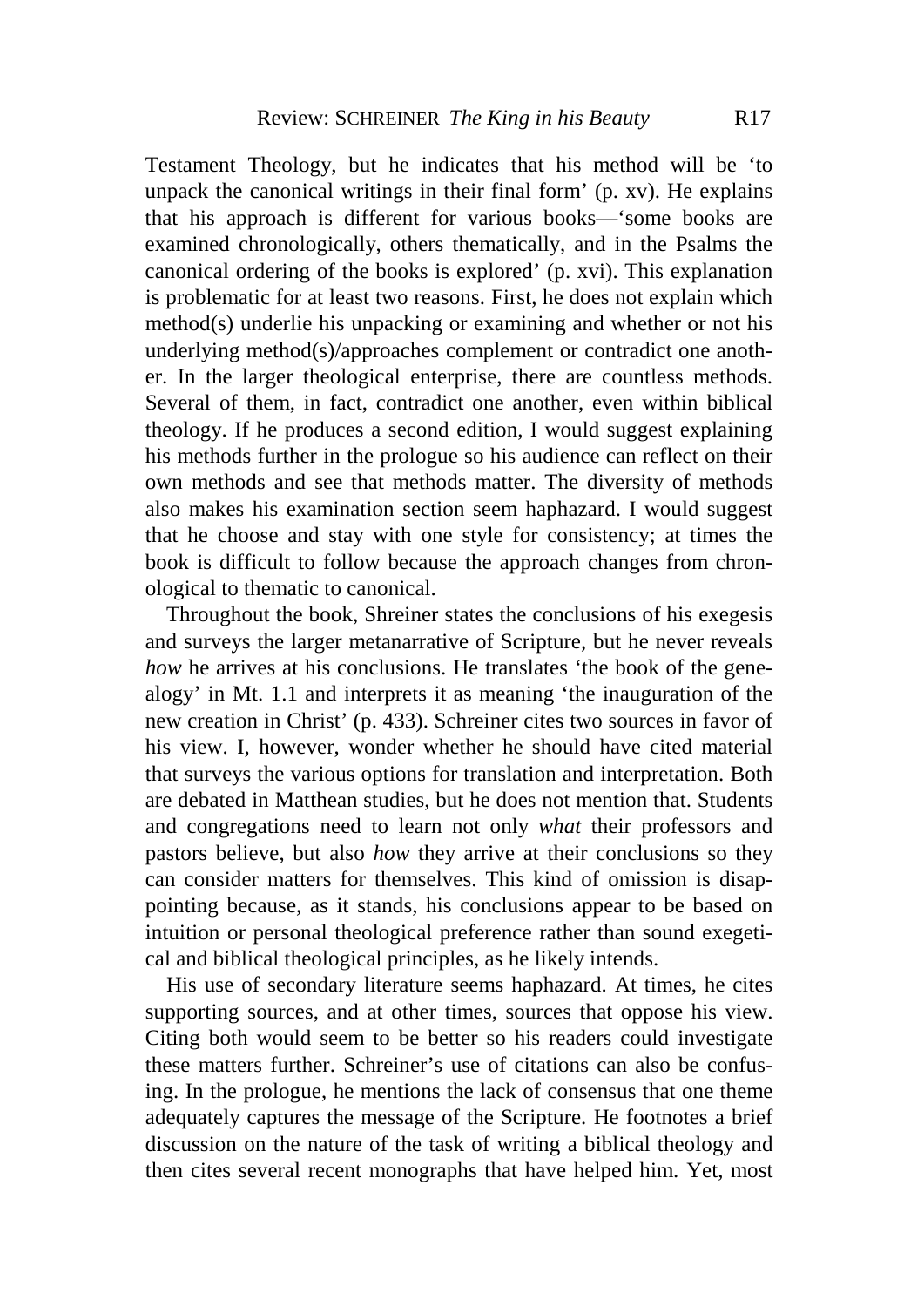Testament Theology, but he indicates that his method will be 'to unpack the canonical writings in their final form' (p. xv). He explains that his approach is different for various books—'some books are examined chronologically, others thematically, and in the Psalms the canonical ordering of the books is explored' (p. xvi). This explanation is problematic for at least two reasons. First, he does not explain which method(s) underlie his unpacking or examining and whether or not his underlying method(s)/approaches complement or contradict one another. In the larger theological enterprise, there are countless methods. Several of them, in fact, contradict one another, even within biblical theology. If he produces a second edition, I would suggest explaining his methods further in the prologue so his audience can reflect on their own methods and see that methods matter. The diversity of methods also makes his examination section seem haphazard. I would suggest that he choose and stay with one style for consistency; at times the book is difficult to follow because the approach changes from chronological to thematic to canonical.

Throughout the book, Shreiner states the conclusions of his exegesis and surveys the larger metanarrative of Scripture, but he never reveals *how* he arrives at his conclusions. He translates 'the book of the genealogy' in Mt. 1.1 and interprets it as meaning 'the inauguration of the new creation in Christ' (p. 433). Schreiner cites two sources in favor of his view. I, however, wonder whether he should have cited material that surveys the various options for translation and interpretation. Both are debated in Matthean studies, but he does not mention that. Students and congregations need to learn not only *what* their professors and pastors believe, but also *how* they arrive at their conclusions so they can consider matters for themselves. This kind of omission is disappointing because, as it stands, his conclusions appear to be based on intuition or personal theological preference rather than sound exegetical and biblical theological principles, as he likely intends.

His use of secondary literature seems haphazard. At times, he cites supporting sources, and at other times, sources that oppose his view. Citing both would seem to be better so his readers could investigate these matters further. Schreiner's use of citations can also be confusing. In the prologue, he mentions the lack of consensus that one theme adequately captures the message of the Scripture. He footnotes a brief discussion on the nature of the task of writing a biblical theology and then cites several recent monographs that have helped him. Yet, most